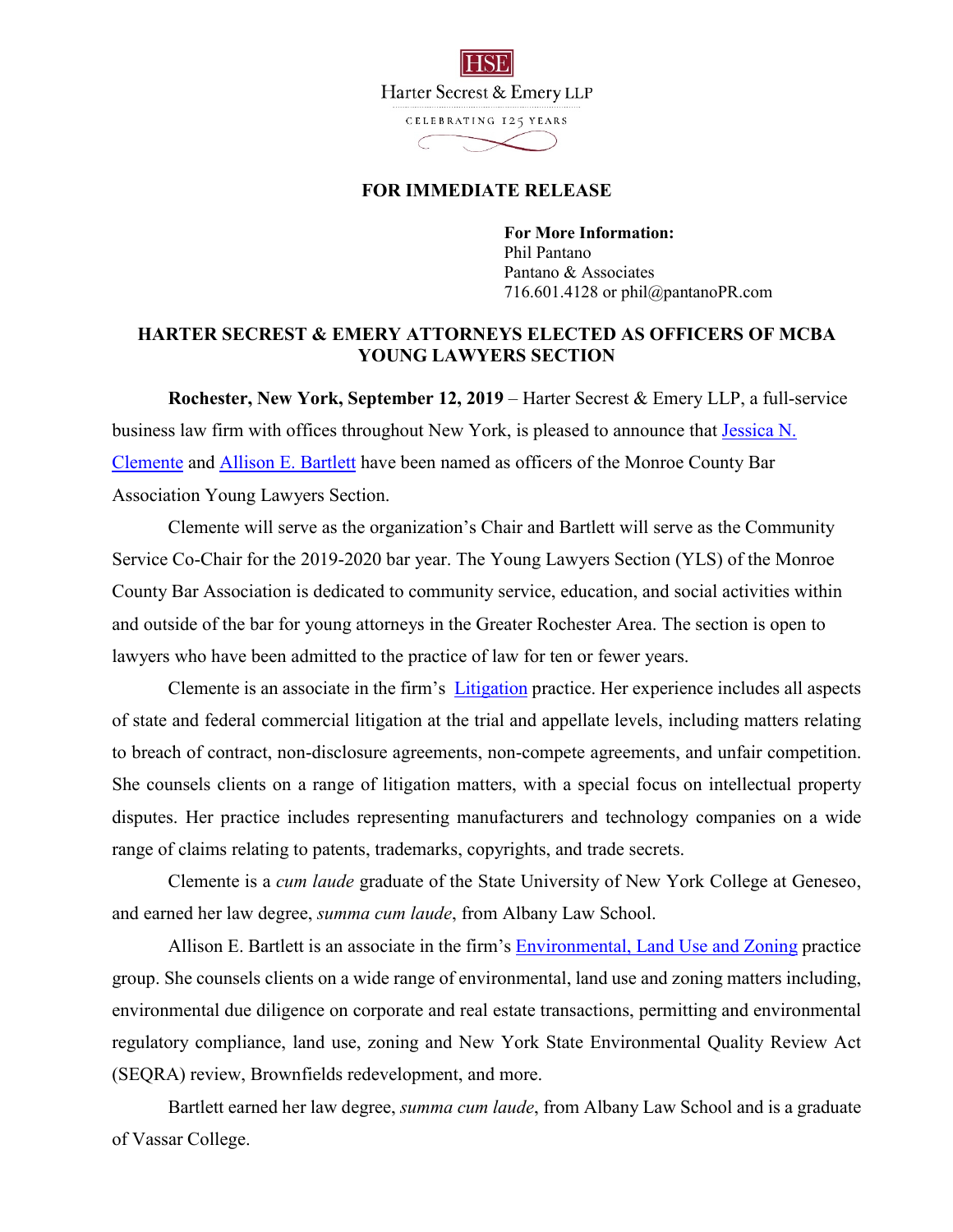

## **FOR IMMEDIATE RELEASE**

**For More Information:**  Phil Pantano Pantano & Associates 716.601.4128 or phil@pantanoPR.com

## **HARTER SECREST & EMERY ATTORNEYS ELECTED AS OFFICERS OF MCBA YOUNG LAWYERS SECTION**

**Rochester, New York, September 12, 2019** – Harter Secrest & Emery LLP, a full-service business law firm with offices throughout New York, is pleased to announce that Jessica N. Clemente and Allison E. Bartlett have been named as officers of the Monroe County Bar Association Young Lawyers Section.

Clemente will serve as the organization's Chair and Bartlett will serve as the Community Service Co-Chair for the 2019-2020 bar year. The Young Lawyers Section (YLS) of the Monroe County Bar Association is dedicated to community service, education, and social activities within and outside of the bar for young attorneys in the Greater Rochester Area. The section is open to lawyers who have been admitted to the practice of law for ten or fewer years.

Clemente is an associate in the firm's Litigation practice. Her experience includes all aspects of state and federal commercial litigation at the trial and appellate levels, including matters relating to breach of contract, non-disclosure agreements, non-compete agreements, and unfair competition. She counsels clients on a range of litigation matters, with a special focus on intellectual property disputes. Her practice includes representing manufacturers and technology companies on a wide range of claims relating to patents, trademarks, copyrights, and trade secrets.

Clemente is a *cum laude* graduate of the State University of New York College at Geneseo, and earned her law degree, *summa cum laude*, from Albany Law School.

Allison E. Bartlett is an associate in the firm's **Environmental**, Land Use and Zoning practice group. She counsels clients on a wide range of environmental, land use and zoning matters including, environmental due diligence on corporate and real estate transactions, permitting and environmental regulatory compliance, land use, zoning and New York State Environmental Quality Review Act (SEQRA) review, Brownfields redevelopment, and more.

Bartlett earned her law degree, *summa cum laude*, from Albany Law School and is a graduate of Vassar College.